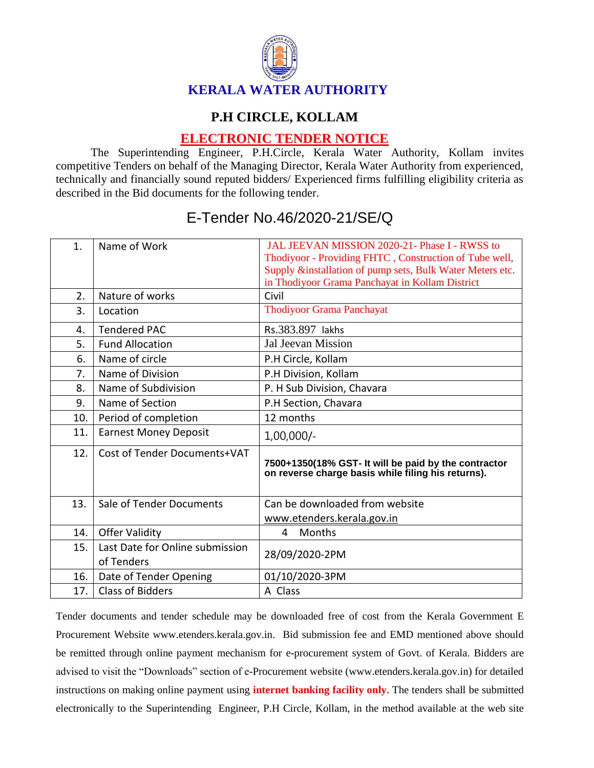

## **P.H CIRCLE, KOLLAM**

## **ELECTRONIC TENDER NOTICE**

The Superintending Engineer, P.H.Circle, Kerala Water Authority, Kollam invites competitive Tenders on behalf of the Managing Director, Kerala Water Authority from experienced, technically and financially sound reputed bidders/ Experienced firms fulfilling eligibility criteria as described in the Bid documents for the following tender.

| 1.  | Name of Work                                  | JAL JEEVAN MISSION 2020-21- Phase I - RWSS to<br>Thodiyoor - Providing FHTC, Construction of Tube well,<br>Supply &installation of pump sets, Bulk Water Meters etc.<br>in Thodiyoor Grama Panchayat in Kollam District |
|-----|-----------------------------------------------|-------------------------------------------------------------------------------------------------------------------------------------------------------------------------------------------------------------------------|
| 2.  | Nature of works                               | Civil                                                                                                                                                                                                                   |
| 3.  | Location                                      | <b>Thodiyoor Grama Panchayat</b>                                                                                                                                                                                        |
| 4.  | <b>Tendered PAC</b>                           | Rs.383.897 lakhs                                                                                                                                                                                                        |
| 5.  | <b>Fund Allocation</b>                        | <b>Jal Jeevan Mission</b>                                                                                                                                                                                               |
| 6.  | Name of circle                                | P.H Circle, Kollam                                                                                                                                                                                                      |
| 7.  | Name of Division                              | P.H Division, Kollam                                                                                                                                                                                                    |
| 8.  | Name of Subdivision                           | P. H Sub Division, Chavara                                                                                                                                                                                              |
| 9.  | Name of Section                               | P.H Section, Chavara                                                                                                                                                                                                    |
| 10. | Period of completion                          | 12 months                                                                                                                                                                                                               |
| 11. | <b>Earnest Money Deposit</b>                  | $1,00,000/-$                                                                                                                                                                                                            |
| 12. | Cost of Tender Documents+VAT                  | 7500+1350(18% GST- It will be paid by the contractor<br>on reverse charge basis while filing his returns).                                                                                                              |
| 13. | Sale of Tender Documents                      | Can be downloaded from website                                                                                                                                                                                          |
|     |                                               | www.etenders.kerala.gov.in                                                                                                                                                                                              |
| 14. | <b>Offer Validity</b>                         | Months<br>4                                                                                                                                                                                                             |
| 15. | Last Date for Online submission<br>of Tenders | 28/09/2020-2PM                                                                                                                                                                                                          |
| 16. | Date of Tender Opening                        | 01/10/2020-3PM                                                                                                                                                                                                          |
| 17. | <b>Class of Bidders</b>                       | A Class                                                                                                                                                                                                                 |

## E-Tender No.46/2020-21/SE/Q

Tender documents and tender schedule may be downloaded free of cost from the Kerala Government E Procurement Website www.etenders.kerala.gov.in. Bid submission fee and EMD mentioned above should be remitted through online payment mechanism for e-procurement system of Govt. of Kerala. Bidders are advised to visit the "Downloads" section of e-Procurement website (www.etenders.kerala.gov.in) for detailed instructions on making online payment using **internet banking facility only**. The tenders shall be submitted electronically to the Superintending Engineer, P.H Circle, Kollam, in the method available at the web site